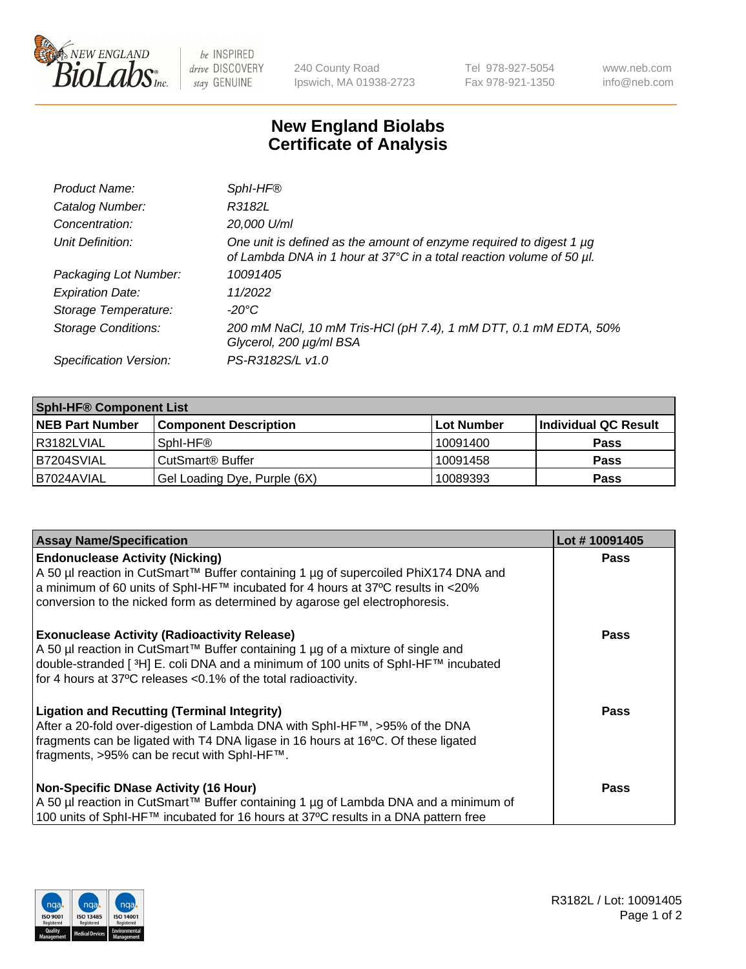

 $be$  INSPIRED drive DISCOVERY stay GENUINE

240 County Road Ipswich, MA 01938-2723 Tel 978-927-5054 Fax 978-921-1350 www.neb.com info@neb.com

## **New England Biolabs Certificate of Analysis**

| Product Name:              | Sphl-HF®                                                                                                                                    |
|----------------------------|---------------------------------------------------------------------------------------------------------------------------------------------|
| Catalog Number:            | R3182L                                                                                                                                      |
| Concentration:             | 20,000 U/ml                                                                                                                                 |
| Unit Definition:           | One unit is defined as the amount of enzyme required to digest 1 µg<br>of Lambda DNA in 1 hour at 37°C in a total reaction volume of 50 µl. |
| Packaging Lot Number:      | 10091405                                                                                                                                    |
| <b>Expiration Date:</b>    | 11/2022                                                                                                                                     |
| Storage Temperature:       | $-20^{\circ}$ C                                                                                                                             |
| <b>Storage Conditions:</b> | 200 mM NaCl, 10 mM Tris-HCl (pH 7.4), 1 mM DTT, 0.1 mM EDTA, 50%<br>Glycerol, 200 µg/ml BSA                                                 |
| Specification Version:     | PS-R3182S/L v1.0                                                                                                                            |

| <b>Sphl-HF® Component List</b> |                              |            |                      |  |  |
|--------------------------------|------------------------------|------------|----------------------|--|--|
| <b>NEB Part Number</b>         | <b>Component Description</b> | Lot Number | Individual QC Result |  |  |
| R3182LVIAL                     | Sphl-HF®                     | 10091400   | <b>Pass</b>          |  |  |
| B7204SVIAL                     | CutSmart <sup>®</sup> Buffer | 10091458   | <b>Pass</b>          |  |  |
| IB7024AVIAL                    | Gel Loading Dye, Purple (6X) | 10089393   | <b>Pass</b>          |  |  |

| <b>Assay Name/Specification</b>                                                                                                                                                   | Lot #10091405 |
|-----------------------------------------------------------------------------------------------------------------------------------------------------------------------------------|---------------|
| <b>Endonuclease Activity (Nicking)</b>                                                                                                                                            | <b>Pass</b>   |
| A 50 µl reaction in CutSmart™ Buffer containing 1 µg of supercoiled PhiX174 DNA and<br>  a minimum of 60 units of SphI-HF™ incubated for 4 hours at 37°C results in <20%          |               |
| conversion to the nicked form as determined by agarose gel electrophoresis.                                                                                                       |               |
| <b>Exonuclease Activity (Radioactivity Release)</b>                                                                                                                               | Pass          |
| A 50 µl reaction in CutSmart™ Buffer containing 1 µg of a mixture of single and<br>double-stranded [ <sup>3</sup> H] E. coli DNA and a minimum of 100 units of Sphl-HF™ incubated |               |
| for 4 hours at 37°C releases <0.1% of the total radioactivity.                                                                                                                    |               |
| <b>Ligation and Recutting (Terminal Integrity)</b>                                                                                                                                | <b>Pass</b>   |
| After a 20-fold over-digestion of Lambda DNA with SphI-HF™, >95% of the DNA<br>fragments can be ligated with T4 DNA ligase in 16 hours at 16°C. Of these ligated                  |               |
| fragments, >95% can be recut with SphI-HF™.                                                                                                                                       |               |
| Non-Specific DNase Activity (16 Hour)                                                                                                                                             | <b>Pass</b>   |
| A 50 µl reaction in CutSmart™ Buffer containing 1 µg of Lambda DNA and a minimum of                                                                                               |               |
| 100 units of SphI-HF™ incubated for 16 hours at 37°C results in a DNA pattern free                                                                                                |               |